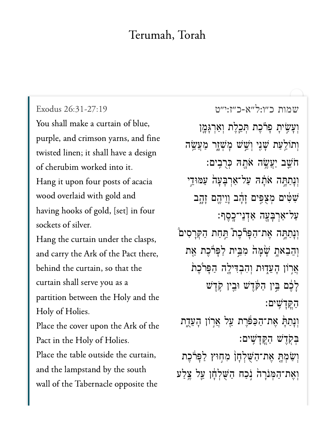## Terumah, Torah

Exodus 26:31-27:19 You shall make a curtain of blue, purple, and crimson yarns, and fine twisted linen; it shall have a design of cherubim worked into it. Hang it upon four posts of acacia wood overlaid with gold and having hooks of gold, [set] in four sockets of silver. Hang the curtain under the clasps, and carry the Ark of the Pact there, behind the curtain, so that the curtain shall serve you as a partition between the Holy and the Holy of Holies. Place the cover upon the Ark of the Pact in the Holy of Holies. Place the table outside the curtain, and the lampstand by the south wall of the Tabernacle opposite the

שמות כ"ו:ל"א-כ"ז:י"ט וְעָשִׂיתָ פָרֹכֵת תִּכֵלֵת וְאַרְגָּמֱן וְתוֹלֵעַת שָׁנִי וְשֵׁשׁ מָשָׁוָר מַעֲשֵׂה ּחֹשֵׁב יַעֲשֶׂה אֹתָהּ כְּרֻבְיִם: וְנָתַתָּה אֹתָה עַל־אַרְבָעָה עַמּוּדֵי שִׁלִּים מִצְפִּים זָהָב וַוֵיהֵם זָהָב ּעַל־אַרִבְּעָה אַדְנֵי־כָסֵף: וְנְתַתְּה אֶת־הַפְּרֹּכֶת ֿתַּחַת הַקְּרָסִיםֹ וְהֵבָאתָ שָׁמָּהֹ מִבֵּית לַפְּרֹּכֵת אֵת אֲרִוֹן הָעֲדָוּת וְהִבְדִּילֶה הַפְּרֹּכֶת לָבֶם בֵּין הַקּׂדֵשׁ וּבֵין קִדֵשׁ הקדשים: וִנָּתַתָּ אֶת־הַכַּפּּׁרֶת עַל אֲרָוֹן הָעֵדֶת בִקְדֵשׁ הַקֲדָשִׁים: וְשַׂמְתָּ אֵת־הַשָּׁלְחָן מְחִוּץ לַפָּרֹבֵת וְאֵת־הַמְּנִרָה נְכַח הַשָּׁלְחָן עַלִּ צֶלַע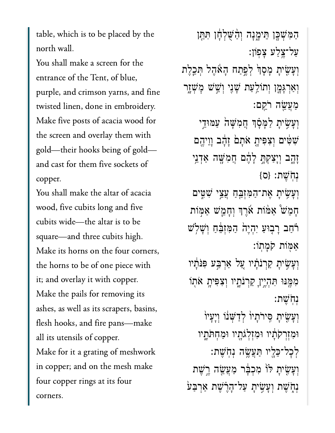table, which is to be placed by the north wall.

You shall make a screen for the entrance of the Tent, of blue, purple, and crimson yarns, and fine twisted linen, done in embroidery. Make five posts of acacia wood for the screen and overlay them with gold—their hooks being of gold and cast for them five sockets of copper.

You shall make the altar of acacia wood, five cubits long and five cubits wide—the altar is to be square—and three cubits high. Make its horns on the four corners, the horns to be of one piece with it; and overlay it with copper. Make the pails for removing its ashes, as well as its scrapers, basins, flesh hooks, and fire pans—make all its utensils of copper. Make for it a grating of meshwork in copper; and on the mesh make four copper rings at its four corners.

הַמְּשָׁכֶן הֵימֶנָה וְהַשְׁלְחָו תִּחֵן ַעַל־צֵלַע צַפוֹן: וְעָשִׂיתָ מָסָךְ לְפֵתַח הָאֶהֶל תְּכֵלֶת וְאַרְגָּמֶן וְתוֹלֵעַת שָׁנִי וְשֵׁשׁ מְּשָׁזֶר ַמֲעֵׂ֖שה ֹרֵֽקם׃ וְעָּשִׂיתָ לַמְּסָ֫ךְ חֲמִשָּׁה עַמּוּדֵי ֿשִׁשִּׂים וְצִפִּיתָ אֹתָם זָהָד וְוֵיהֶם ָזָ֑הב ְוָיַצְקָּ֣ת ָלֶ֔הם ֲחִמָּׁ֖שה ַאְדֵ֥ני  ${S}$ נְחֹ ${\mathcal{Y}}$ ת: {ס וְעָשִׂיתָ אֶת־הַמְּזָּבֵחַ עֲצֵי שִׁטִֵּים ָחֵמׁ֩ש ַאּ֨מֹות ֹ֜אֶרְך ְוָחֵ֧מׁש ַאּ֣מֹות ֹ֗רַחב ָר֤בּוַע ִיְהֶי֙ה ַהִּמְזֵּ֔בַח ְוָׁשֹ֥לׁש ַאּ֖מֹות ֹקָמֽתֹו׃ וְעָ*ֹ*שִׂיתָ קַרְנֹתָ֫יו עַל אַרִבִּע פִּנֹּתִ֫יו ִמֶּ֖מּנּו ִּתְהֶ֣ייָן ַקְרֹנָ֑תיו ְוִצִּפיָ֥ת ֹא֖תֹו ְנֹֽחֶׁשת׃ וְעָ*ּשִׂיִּתָ סִּירֹתָיוֹ לְדַ*ּשְׁנֹו וְיָעָיוֹ ּוִמְזְרֹקָ֔תיו ּוִמְזְלֹגָ֖תיו ּוַמְחֹּתָ֑תיו ְלׇכל־ֵּכָ֖ליו ַּתֲעֶׂ֥שה ְנֹֽחֶׁשת׃ וְעָ*ׁשִׂ*ּיתָ לֹוֹ מְכִבְּ֫ר מַעֲשֶׂה רֵשָׁת **ּנְחָׂשֶׁת וְעַשִׂיֹת עַל־הָרֶשֶׁת אַרְבַּע**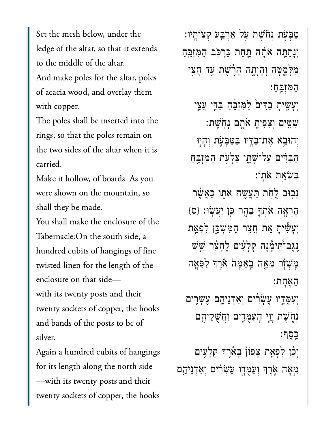Set the mesh below, under the ledge of the altar, so that it extends to the middle of the altar. And make poles for the altar, poles of acacia wood, and overlay them with copper.

The poles shall be inserted into the rings, so that the poles remain on the two sides of the altar when it is carried.

Make it hollow, of boards. As you were shown on the mountain, so shall they be made.

You shall make the enclosure of the Tabernacle: On the south side, a hundred cubits of hangings of fine twisted linen for the length of the enclosure on that sidewith its twenty posts and their twenty sockets of copper, the hooks and bands of the posts to be of silver.

Again a hundred cubits of hangings for its length along the north side - with its twenty posts and their twenty sockets of copper, the hooks

טַבִּעָׂת נִחֹּשֵׁת עַל אַרְבֵּע קִצוֹתֵיו: וִנְתַחָּה אֹתָהּ תֲחַת כַּרְכְּב הַמִּזְבֵּחַ מִלְמָטָה וְהָיִתָה הָרֵשׁת עַד חֲצֵי המזבח: וְעָשָׂיתָ בַדִּיםׂ לַמְזְבֵּٰחָ בַדֵּי עֲצֵי שִׁשֵּים וְצִפִּיהָ אֹהָם נְחִשָּׁת: וְהוּבָא אֵת־בַּדֵּיו בַּטַּבָעָׂת וְהָיִוּ הַבְּדִּים עַל־שָׁתֱי צַלְעָת הַמְזְבֵהַ בִשְׁאֵת אתו: נִבְוּב לָחָת תַּעֲשֶׂה אֹתָו כַּאֲשֶׁר הֶרְאָה אֹתְךָּ בְּהֶר כֵּן יַעֲשׂוּ: {ס} וִעָּשִׂיתָ אֵת חֲצַר הַמִּשָׁכֶּן לִפְאַת **ַ**יְגַב־הֵימָۢנָה קִלָעָׁים לֶחָצֵר שֳשׁ מַשְׁזָר מֵאֲה בָאַמָּה אֵרֵךְ לַפֵּאָה האחת: וִעַמְּדָיו עֵשְׂרִים וְאַדְנֵיהֵם עֵשְׂרִים ּנְחָשֵׁת וַוֵי הָעַמֻּדֵים וַחֲשָׁקֵיהֵם כּסַף: וְכֵׁן לְפָאֵת צָפוֹן בָּאֹרֶךְ קִלָּעִים מֵאָה אָרֵךְ וְעַמְּדֵו עֶשְׂרִים וְאַדְנִיהֶם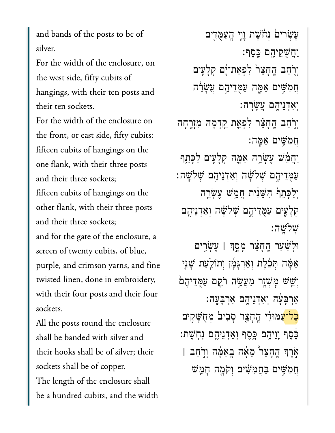and bands of the posts to be of silver.

For the width of the enclosure, on the west side, fifty cubits of hangings, with their ten posts and their ten sockets.

For the width of the enclosure on the front, or east side, fifty cubits: fifteen cubits of hangings on the one flank, with their three posts and their three sockets; fifteen cubits of hangings on the other flank, with their three posts and their three sockets; and for the gate of the enclosure, a screen of twenty cubits, of blue, purple, and crimson yarns, and fine twisted linen, done in embroidery, with their four posts and their four sockets.

All the posts round the enclosure shall be banded with silver and their hooks shall be of silver; their sockets shall be of copper. The length of the enclosure shall be a hundred cubits, and the width

ּעֲשָׂרִיםׂ נִחָּשֵׁת וֵוֵי הֲעַמֶּדֵים ַוֲחֻׁשֵקיֶ֖הם ָּֽכֶסף׃ וְרָחַב הֶחָצֵר<sup>י</sup> לִפְאַת־יָּם קִלָּעִים ֲחִמִּׁ֣שים ַאָּ֑מה ַעֻּמֵדיֶ֣הם ֲעָׂשָ֔רה ְוַאְדֵניֶ֖הם ֲעָׂשָֽרה׃ וִרֹחַב הֵחָצֵּר לִפְ<mark>א</mark>ַת קֵדְמָה מִזְרֶחָה ֲחִמִּׁ֥שים ַאָּֽמה׃ ַוְחֲמֵٰשׁ עֶשְׂרֱה אַמֱה קְלָעִים לַכְּתֵ֣ר ֿעַמָּדִיהֶם שָׁלֹשָׂה וְאַדְנִיהֶם שְׁלֹשֶׁה: וְלַכָּתֵֽף הַשֵּׁנִית חֲמֵשׁ עֵשְׂרֵה קַלָּעִים עַמֻּדִיהֶם שְׁלֹשָּׂה וְאַדְנִיהֶם ְׁשֹלָֽׁשה׃ ּוְלַׁ֨שַער ֶֽהָחֵ֜צר ָמָ֣סְך **׀** ֶעְׂשִ֣רים אַמָּה תְּבֵ֫לֶת וְאַרְגָּמֶן וְתוֹלַעַת שָׁנֵי וְשֵׁשׁ מָשְׁזָר מַעֲשֶׂה רֹקֵם עַמֶּדִיהֵם ַאֲרִבְּעָָה וְאַדְנֵיהֶם אַרִבְּעָה: <mark>ּכַל־ע</mark>ַמּוּדֵי הֱחָצֵר סָבִיבׂ מְחֻשָּׁקִים ֶּ֔כֶסף ָוֵויֶ֖הם ָּ֑כֶסף ְוַאְדֵניֶ֖הם ְנֹֽחֶׁשת׃ ֹ֣אֶרְך ֶֽהָחֵצ֩ר ֵמָ֨אה ָֽבַאָּ֜מה ְוֹ֣רַחב **׀** הֲמִשִּׁים בַּחֲמְשִׁׁים וְקֹמֵה חָמֵשׁ